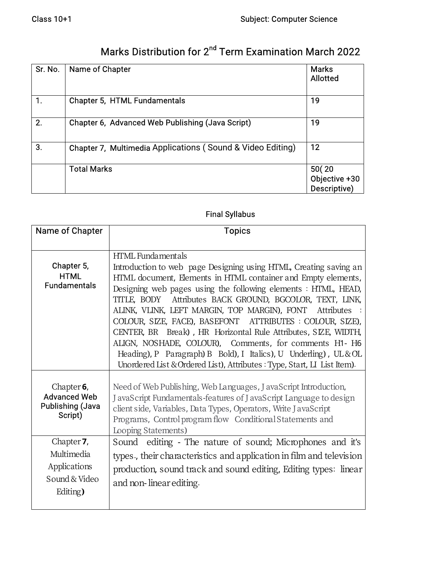| Sr. No.          | Name of Chapter                                            | <b>Marks</b><br><b>Allotted</b> |  |
|------------------|------------------------------------------------------------|---------------------------------|--|
| $\mathbf{1}$ .   | <b>Chapter 5, HTML Fundamentals</b>                        | 19                              |  |
| 2.               | Chapter 6, Advanced Web Publishing (Java Script)           | 19                              |  |
| $\overline{3}$ . | Chapter 7, Multimedia Applications (Sound & Video Editing) | 12                              |  |
|                  | <b>Total Marks</b>                                         | 50(20)<br>Objective +30         |  |
|                  |                                                            | Descriptive)                    |  |

# Marks Distribution for 2<sup>nd</sup> Term Examination March 2022

#### **Final Syllabus**

| Name of Chapter                                                            | <b>Topics</b>                                                                                                                                                                                                                                                                                                                                                                                                                                                                                                                                                                                                                                                                                    |
|----------------------------------------------------------------------------|--------------------------------------------------------------------------------------------------------------------------------------------------------------------------------------------------------------------------------------------------------------------------------------------------------------------------------------------------------------------------------------------------------------------------------------------------------------------------------------------------------------------------------------------------------------------------------------------------------------------------------------------------------------------------------------------------|
|                                                                            |                                                                                                                                                                                                                                                                                                                                                                                                                                                                                                                                                                                                                                                                                                  |
| Chapter 5,<br><b>HTML</b><br><b>Fundamentals</b>                           | <b>HTML</b> Fundamentals<br>Introduction to web page Designing using HTML, Creating saving an<br>HTML document, Elements in HTML container and Empty elements,<br>Designing web pages using the following elements: HTML, HEAD,<br>TITLE, BODY Attributes BACK GROUND, BGCOLOR, TEXT, LINK,<br>ALINK, VLINK, LEFT MARGIN, TOP MARGIN), FONT Attributes :<br>COLOUR, SIZE, FACE), BASEFONT ATTRIBUTES : COLOUR, SIZE),<br>CENTER, BR Break), HR Horizontal Rule Attributes, SIZE, WIDTH,<br>ALIGN, NOSHADE, COLOUR), Comments, for comments H1- H6<br>Heading), P Paragraph) B Bold), I Italics), U Underling), UL&OL<br>Unordered List & Ordered List), Attributes : Type, Start, LI List Item). |
| Chapter $6$ ,<br><b>Advanced Web</b><br><b>Publishing (Java</b><br>Script) | Need of Web Publishing, Web Languages, J avaScript Introduction,<br>J avaScript Fundamentals-features of J avaScript Language to design<br>client side, Variables, Data Types, Operators, Write J avaScript<br>Programs, Control program flow Conditional Statements and<br>Looping Statements)                                                                                                                                                                                                                                                                                                                                                                                                  |
| Chapter $7$ ,<br>Multimedia<br>Applications<br>Sound & Video<br>Editing)   | Sound editing - The nature of sound; Microphones and it's<br>types., their characteristics and application in film and television<br>production, sound track and sound editing, Editing types: linear<br>and non-linear editing.                                                                                                                                                                                                                                                                                                                                                                                                                                                                 |